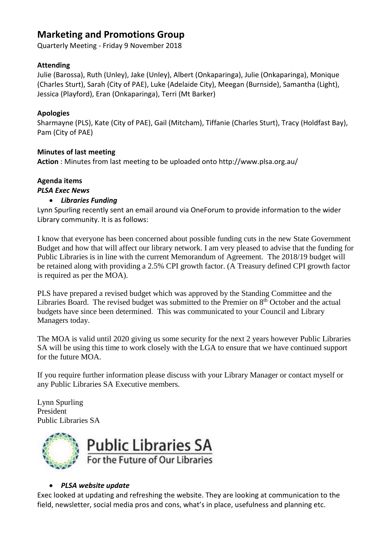# **Marketing and Promotions Group**

Quarterly Meeting - Friday 9 November 2018

## **Attending**

Julie (Barossa), Ruth (Unley), Jake (Unley), Albert (Onkaparinga), Julie (Onkaparinga), Monique (Charles Sturt), Sarah (City of PAE), Luke (Adelaide City), Meegan (Burnside), Samantha (Light), Jessica (Playford), Eran (Onkaparinga), Terri (Mt Barker)

## **Apologies**

Sharmayne (PLS), Kate (City of PAE), Gail (Mitcham), Tiffanie (Charles Sturt), Tracy (Holdfast Bay), Pam (City of PAE)

## **Minutes of last meeting**

**Action** : Minutes from last meeting to be uploaded onto http://www.plsa.org.au/

#### **Agenda items** *PLSA Exec News*

## • *Libraries Funding*

Lynn Spurling recently sent an email around via OneForum to provide information to the wider Library community. It is as follows:

I know that everyone has been concerned about possible funding cuts in the new State Government Budget and how that will affect our library network. I am very pleased to advise that the funding for Public Libraries is in line with the current Memorandum of Agreement. The 2018/19 budget will be retained along with providing a 2.5% CPI growth factor. (A Treasury defined CPI growth factor is required as per the MOA).

PLS have prepared a revised budget which was approved by the Standing Committee and the Libraries Board. The revised budget was submitted to the Premier on  $8<sup>th</sup>$  October and the actual budgets have since been determined. This was communicated to your Council and Library Managers today.

The MOA is valid until 2020 giving us some security for the next 2 years however Public Libraries SA will be using this time to work closely with the LGA to ensure that we have continued support for the future MOA.

If you require further information please discuss with your Library Manager or contact myself or any Public Libraries SA Executive members.

Lynn Spurling President Public Libraries SA



## • *PLSA website update*

Exec looked at updating and refreshing the website. They are looking at communication to the field, newsletter, social media pros and cons, what's in place, usefulness and planning etc.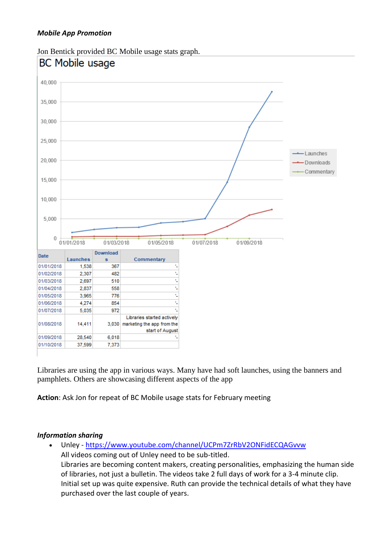

Jon Bentick provided BC Mobile usage stats graph.

Libraries are using the app in various ways. Many have had soft launches, using the banners and pamphlets. Others are showcasing different aspects of the app

**Action**: Ask Jon for repeat of BC Mobile usage stats for February meeting

## *Information sharing*

• Unley - <https://www.youtube.com/channel/UCPm7ZrRbV2ONFidECQAGvvw> All videos coming out of Unley need to be sub-titled. Libraries are becoming content makers, creating personalities, emphasizing the human side of libraries, not just a bulletin. The videos take 2 full days of work for a 3-4 minute clip. Initial set up was quite expensive. Ruth can provide the technical details of what they have purchased over the last couple of years.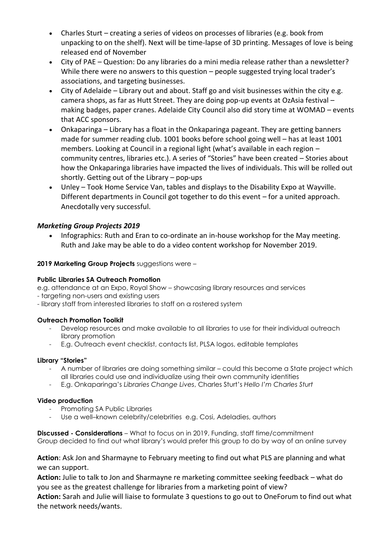- Charles Sturt creating a series of videos on processes of libraries (e.g. book from unpacking to on the shelf). Next will be time-lapse of 3D printing. Messages of love is being released end of November
- City of PAE Question: Do any libraries do a mini media release rather than a newsletter? While there were no answers to this question – people suggested trying local trader's associations, and targeting businesses.
- City of Adelaide Library out and about. Staff go and visit businesses within the city e.g. camera shops, as far as Hutt Street. They are doing pop-up events at OzAsia festival – making badges, paper cranes. Adelaide City Council also did story time at WOMAD – events that ACC sponsors.
- Onkaparinga Library has a float in the Onkaparinga pageant. They are getting banners made for summer reading club. 1001 books before school going well – has at least 1001 members. Looking at Council in a regional light (what's available in each region – community centres, libraries etc.). A series of "Stories" have been created – Stories about how the Onkaparinga libraries have impacted the lives of individuals. This will be rolled out shortly. Getting out of the Library – pop-ups
- Unley Took Home Service Van, tables and displays to the Disability Expo at Wayville. Different departments in Council got together to do this event – for a united approach. Anecdotally very successful.

## *Marketing Group Projects 2019*

• Infographics: Ruth and Eran to co-ordinate an in-house workshop for the May meeting. Ruth and Jake may be able to do a video content workshop for November 2019.

### **2019 Marketing Group Projects** suggestions were –

#### **Public Libraries SA Outreach Promotion**

e.g. attendance at an Expo, Royal Show – showcasing library resources and services

- targeting non-users and existing users

- library staff from interested libraries to staff on a rostered system

#### **Outreach Promotion Toolkit**

- Develop resources and make available to all libraries to use for their individual outreach library promotion
- E.g. Outreach event checklist, contacts list, PLSA logos, editable templates

#### **Library "Stories"**

- A number of libraries are doing something similar could this become a State project which all libraries could use and individualize using their own community identities
- E.g. Onkaparinga's *Libraries Change Lives*, Charles Sturt's *Hello I'm Charles Sturt*

#### **Video production**

- Promoting SA Public Libraries
- Use a well-known celebrity/celebrities e.g. Cosi, Adeladies, authors

**Discussed - Considerations** – What to focus on in 2019, Funding, staff time/commitment Group decided to find out what library's would prefer this group to do by way of an online survey

### **Action**: Ask Jon and Sharmayne to February meeting to find out what PLS are planning and what we can support.

**Action:** Julie to talk to Jon and Sharmayne re marketing committee seeking feedback – what do you see as the greatest challenge for libraries from a marketing point of view?

**Action:** Sarah and Julie will liaise to formulate 3 questions to go out to OneForum to find out what the network needs/wants.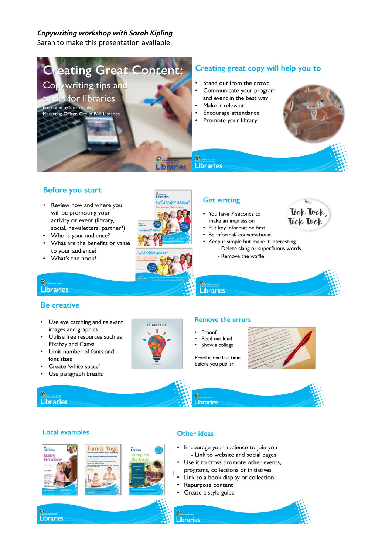## Copywriting workshop with Sarah Kipling

Sarah to make this presentation available.



## **Before you start**

- Review how and where you will be promoting your activity or event (library, social, newsletters, partner?)
- Who is your audience?
- What are the benefits or value to your audience?
- What's the hook?





- You have 7 seconds to make an impression
- Put key information first
- Be informal/ conversational
- Keep it simple but make it interesting - Delete slang or superfluous words
	- Remove the waffle



#### 温 **Libraries**

### **Be creative**

- Use eye catching and relevant images and graphics
- Utilise free resources such as Pixabay and Canva
- Limit number of fonts and font sizes
- Create 'white space'
- Use paragraph breaks



### **Remove the errurs**

- Propof
- Reed out loud
- Show a college



**D** 

**Baby**<br>Bounc

**Local examples** 

### **Other ideas**

- Encourage your audience to join you - Link to website and social pages
- Use it to cross promote other events, programs, collections or initiatives
- Link to a book display or collection
- Repurpose content
- Create a style guide













**ARG** 

- 
- 

Libraries

Proof it one last time before you publish



毁 **Libraries**